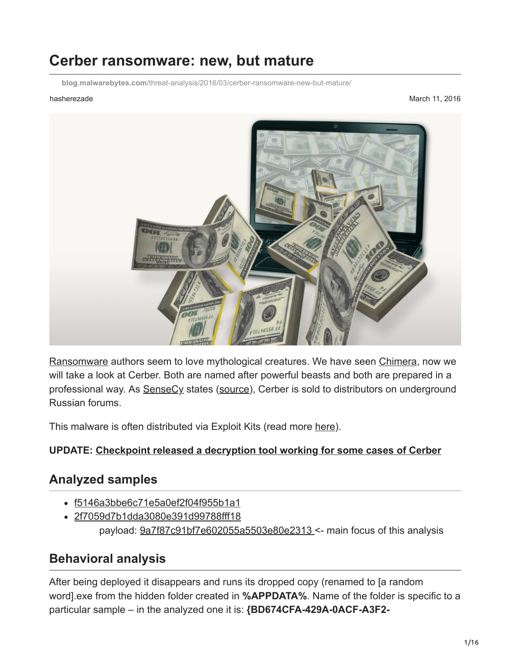# **Cerber ransomware: new, but mature**

**blog.malwarebytes.com**[/threat-analysis/2016/03/cerber-ransomware-new-but-mature/](https://blog.malwarebytes.com/threat-analysis/2016/03/cerber-ransomware-new-but-mature/)

hasherezade March 11, 2016



[Ransomware](https://www.malwarebytes.com/ransomware) authors seem to love mythological creatures. We have seen [Chimera,](https://blog.malwarebytes.org/intelligence/2015/12/inside-chimera-ransomware-the-first-doxingware-in-wild/) now we will take a look at Cerber. Both are named after powerful beasts and both are prepared in a professional way. As **[SenseCy](http://blog.sensecy.com/)** states [\(source](https://twitter.com/SenseCyBlog/status/705418447283429377)), Cerber is sold to distributors on underground Russian forums.

This malware is often distributed via Exploit Kits (read more [here\)](https://blog.malwarebytes.org/cybercrime/2016/04/magnitude-ek-malvertising-campaign-adds-fingerprinting-gate/).

#### **UPDATE: [Checkpoint released a decryption tool working for some cases of Cerber](https://www.cerberdecrypt.com/RansomwareDecryptionTool/)**

#### **Analyzed samples**

- [f5146a3bbe6c71e5a0ef2f04f955b1a1](https://www.virustotal.com/en/file/2d08ffeba708fb833404d2c320ea4f29365c791d504181e08e3e9b529f5cf096/analysis/)
- [2f7059d7b1dda3080e391d99788fff18](https://www.virustotal.com/en/file/a5ff5f861bbb1ac7c6fd44f303f735fac01273ce2ae43a8acb683076192fcfcc/analysis/) payload: [9a7f87c91bf7e602055a5503e80e2313](https://www.virustotal.com/en/file/e8c6741d3d21068535fb6bb7fe676ecaa74eee06a655c7aa915fc39c0ee7ee16/analysis/1457032020/) <- main focus of this analysis

#### **Behavioral analysis**

After being deployed it disappears and runs its dropped copy (renamed to [a random word].exe from the hidden folder created in **%APPDATA%**. Name of the folder is specific to a particular sample – in the analyzed one it is: **{BD674CFA-429A-0ACF-A3F2-**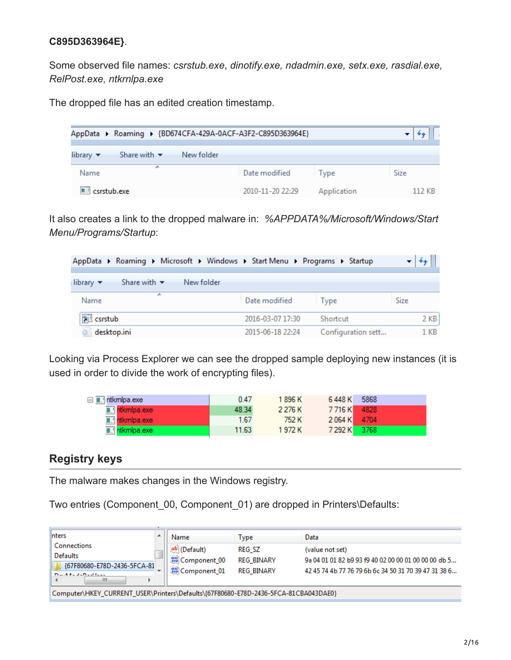#### **C895D363964E}**.

Some observed file names: *csrstub.exe*, *dinotify.exe, ndadmin.exe, setx.exe, rasdial.exe, RelPost.exe, ntkrnlpa.exe*

The dropped file has an edited creation timestamp.

| AppData > Roaming > {BD674CFA-429A-0ACF-A3F2-C895D363964E}                    |                  |             |             |
|-------------------------------------------------------------------------------|------------------|-------------|-------------|
| Share with $\blacktriangledown$<br>New folder<br>library $\blacktriangledown$ |                  |             |             |
| ∸<br>Name                                                                     | Date modified    | Type        | <b>Size</b> |
| csrstub.exe                                                                   | 2010-11-20 22:29 | Application | 112 KB      |

It also creates a link to the dropped malware in: *%APPDATA%/Microsoft/Windows/Start Menu/Programs/Startup*:

| AppData ▶ Roaming ▶ Microsoft ▶ Windows ▶ Start Menu ▶ Programs ▶ Startup     |                  |                    |        |
|-------------------------------------------------------------------------------|------------------|--------------------|--------|
| Share with $\blacktriangledown$<br>library $\blacktriangledown$<br>New folder |                  |                    |        |
| ┻<br>Name                                                                     | Date modified    | Type               | Size   |
| a csrstub                                                                     | 2016-03-07 17:30 | Shortcut           | $2$ KB |
| desktop.ini                                                                   | 2015-06-18 22:24 | Configuration sett | 1 KB   |

Looking via Process Explorer we can see the dropped sample deploying new instances (it is used in order to divide the work of encrypting files).

| □ <u>■.</u> ntkmlpa.exe    | 0.47  | 1 896 K   | 6448 K        | - 5868 |
|----------------------------|-------|-----------|---------------|--------|
| $\blacksquare$ ntkmlpa.exe | 48.34 | 2 2 7 6 K | 7716K 4828    |        |
| <b>E.</b> Intkmlpa.exe     | 1.67  | 752 K     | 2 0 64 K 4704 |        |
| $\blacksquare$ ntkmlpa.exe | 11.63 | 1 972 K   | 7 292 K 3768  |        |

#### **Registry keys**

The malware makes changes in the Windows registry.

Two entries (Component 00, Component 01) are dropped in Printers\Defaults:

| <b>Inters</b>                                                                       |                          | Name                   | Type              | Data                                                 |
|-------------------------------------------------------------------------------------|--------------------------|------------------------|-------------------|------------------------------------------------------|
| Connections                                                                         |                          | ab (Default)           | <b>REG SZ</b>     | (value not set)                                      |
| <b>Defaults</b>                                                                     |                          | <b>OU</b> Component 00 | <b>REG BINARY</b> | 9a 04 01 01 82 b9 93 f9 40 02 00 00 01 00 00 00 db 5 |
| {67F80680-E78D-2436-5FCA-81                                                         | $\overline{\phantom{a}}$ | <b>OU</b> Component 01 | <b>REG BINARY</b> | 42 45 74 4b 77 76 79 6b 6c 34 50 31 70 39 47 31 38 6 |
| <b>Dendroot</b> and the contract the con-<br>ш                                      |                          |                        |                   |                                                      |
| Computer\HKEY_CURRENT_USER\Printers\Defaults\{67F80680-E78D-2436-5FCA-81CBA043DAE0} |                          |                        |                   |                                                      |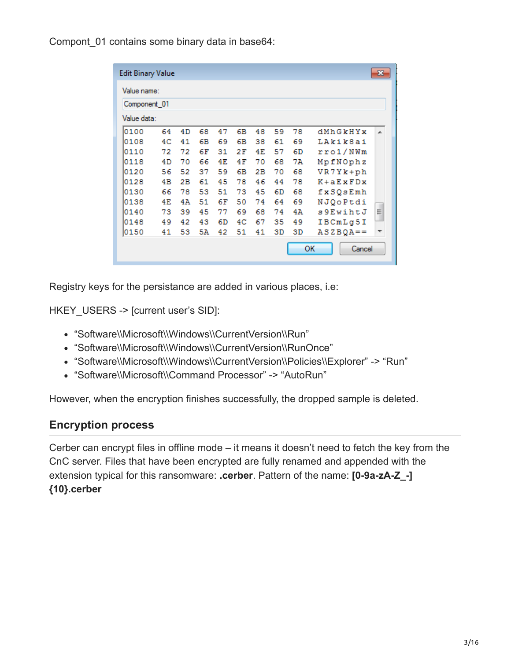Compont 01 contains some binary data in base64:

| <b>Edit Binary Value</b> |    |    |    |    |    |    |    |    |               | $\mathbf{x}$ |
|--------------------------|----|----|----|----|----|----|----|----|---------------|--------------|
| Value name:              |    |    |    |    |    |    |    |    |               |              |
| Component 01             |    |    |    |    |    |    |    |    |               |              |
| Value data:              |    |    |    |    |    |    |    |    |               |              |
| 0100                     | 64 | 4D | 68 | 47 | 6В | 48 | 59 | 78 | dMhGkHYx      | ᆂ            |
| 0108                     | 4C | 41 | 6В | 69 | 6В | 38 | 61 | 69 | LAkik8ai      |              |
| 0110                     | 72 | 72 | 6F | 31 | 2F | 4E | 57 | 6D | rro1/NWm      |              |
| 0118                     | 4D | 70 | 66 | 4E | 4F | 70 | 68 | 7A | MpfNOphz      |              |
| 0120                     | 56 | 52 | 37 | 59 | 6В | 2В | 70 | 68 | VR7Yk+ph      |              |
| 0128                     | 4B | 2В | 61 | 45 | 78 | 46 | 44 | 78 | $K + a EXFDX$ |              |
| 0130                     | 66 | 78 | 53 | 51 | 73 | 45 | 6D | 68 | fxSQsEmh      |              |
| 0138                     | 4E | 4A | 51 | 6F | 50 | 74 | 64 | 69 | NJQoPtdi      |              |
| 0140                     | 73 | 39 | 45 | 77 | 69 | 68 | 74 | 4Ά | s 9 Ewiht J   | Ξ            |
| 0148                     | 49 | 42 | 43 | 6D | 4C | 67 | 35 | 49 | IBCmLq5I      |              |
| 0150                     | 41 | 53 | 5Ά | 42 | 51 | 41 | 3D | 3D | $ASZBOA ==$   | ▼            |
|                          |    |    |    |    |    |    |    |    | ОΚ<br>Cancel  |              |

Registry keys for the persistance are added in various places, i.e:

HKEY\_USERS -> [current user's SID]:

- "Software\\Microsoft\\Windows\\CurrentVersion\\Run"
- "Software\\Microsoft\\Windows\\CurrentVersion\\RunOnce"
- "Software\\Microsoft\\Windows\\CurrentVersion\\Policies\\Explorer" -> "Run"
- "Software\\Microsoft\\Command Processor" -> "AutoRun"

However, when the encryption finishes successfully, the dropped sample is deleted.

#### **Encryption process**

Cerber can encrypt files in offline mode – it means it doesn't need to fetch the key from the CnC server. Files that have been encrypted are fully renamed and appended with the extension typical for this ransomware: **.cerber**. Pattern of the name: **[0-9a-zA-Z\_-] {10}.cerber**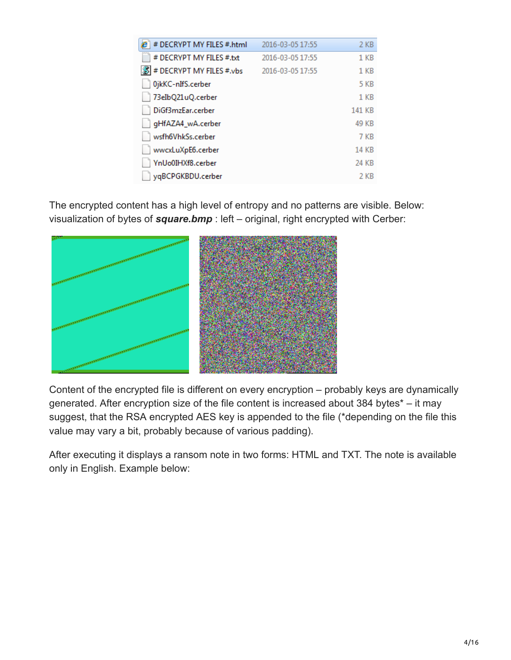| 2016-03-05 17:55 | 2 KB            |
|------------------|-----------------|
| 2016-03-05 17:55 | 1 KB            |
| 2016-03-05 17:55 | 1 <sub>KB</sub> |
|                  | 5 KB            |
|                  | 1 <sub>KB</sub> |
|                  | 141 KB          |
|                  | 49 KB           |
|                  | 7 KB            |
|                  | <b>14 KB</b>    |
|                  | 24 KB           |
|                  | 2 KB            |
|                  |                 |

The encrypted content has a high level of entropy and no patterns are visible. Below: visualization of bytes of *square.bmp* : left – original, right encrypted with Cerber:



Content of the encrypted file is different on every encryption – probably keys are dynamically generated. After encryption size of the file content is increased about 384 bytes\* – it may suggest, that the RSA encrypted AES key is appended to the file (\*depending on the file this value may vary a bit, probably because of various padding).

After executing it displays a ransom note in two forms: HTML and TXT. The note is available only in English. Example below: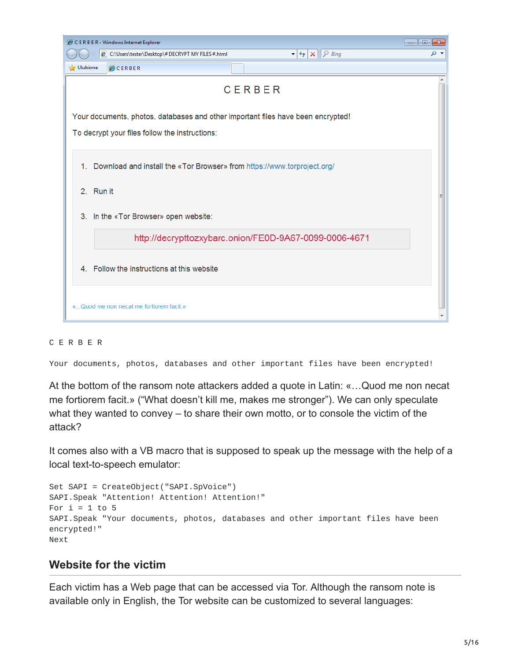| CERBER - Windows Internet Explorer                                                                                                 |     |
|------------------------------------------------------------------------------------------------------------------------------------|-----|
| C:\Users\tester\Desktop\# DECRYPT MY FILES #.html<br>$\mathcal{P}$ Bing<br>$\mathbf{r}$ $\mathbf{t}$ $\mathbf{t}$ $\mathbf{x}$     | - م |
| S Ulubione<br><b>CERBER</b>                                                                                                        |     |
| CERBER                                                                                                                             |     |
| Your documents, photos, databases and other important files have been encrypted!<br>To decrypt your files follow the instructions: |     |
| 1. Download and install the «Tor Browser» from https://www.torproject.org/                                                         |     |
| 2. Run it                                                                                                                          |     |
| 3. In the «Tor Browser» open website:                                                                                              |     |
| http://decrypttozxybarc.onion/FE0D-9A67-0099-0006-4671                                                                             |     |
| 4. Follow the instructions at this website                                                                                         |     |
| «Quod me non necat me fortiorem facit.»                                                                                            |     |

#### C E R B E R

Your documents, photos, databases and other important files have been encrypted!

At the bottom of the ransom note attackers added a quote in Latin: «…Quod me non necat me fortiorem facit.» ("What doesn't kill me, makes me stronger"). We can only speculate what they wanted to convey – to share their own motto, or to console the victim of the attack?

It comes also with a VB macro that is supposed to speak up the message with the help of a local text-to-speech emulator:

```
Set SAPI = CreateObject("SAPI.SpVoice")
SAPI.Speak "Attention! Attention! Attention!"
For i = 1 to 5
SAPI.Speak "Your documents, photos, databases and other important files have been
encrypted!"
Next
```
#### **Website for the victim**

Each victim has a Web page that can be accessed via Tor. Although the ransom note is available only in English, the Tor website can be customized to several languages: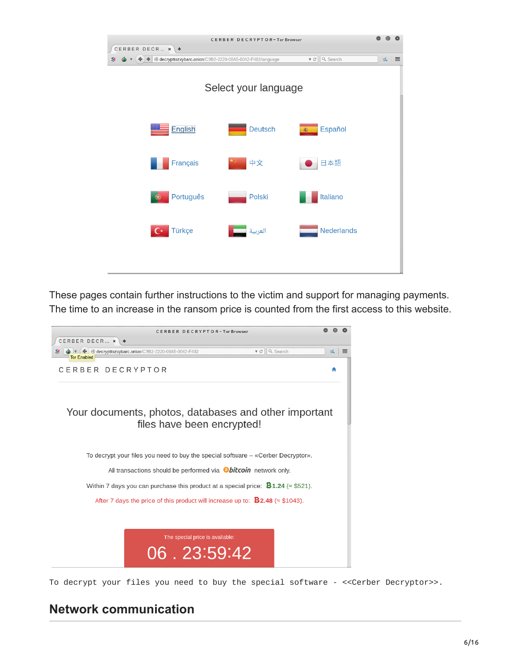|                 | CERBER DECRYPTOR-Tor Browser                                                                               |                                     |                              |
|-----------------|------------------------------------------------------------------------------------------------------------|-------------------------------------|------------------------------|
| CERBER DECR * + |                                                                                                            |                                     |                              |
| SI              | $\bullet$ $\bullet$ $\bullet$ $\bullet$ $\bullet$ decrypttozxybarc.onion/C9B2-2220-08A5-0042-F482/language | Q Search<br>$\nabla$ $\mathbb{C}^i$ | $\Delta_{\rm s}$<br>$\equiv$ |
|                 | Select your language                                                                                       |                                     |                              |
| English         | <b>Deutsch</b>                                                                                             | Español                             |                              |
| Français        | 中文                                                                                                         | 日本語                                 |                              |
| Português       | Polski                                                                                                     | Italiano                            |                              |
| Türkçe          | العربية                                                                                                    | <b>Nederlands</b>                   |                              |
|                 |                                                                                                            |                                     |                              |

These pages contain further instructions to the victim and support for managing payments. The time to an increase in the ransom price is counted from the first access to this website.



To decrypt your files you need to buy the special software - <<Cerber Decryptor>>.

#### **Network communication**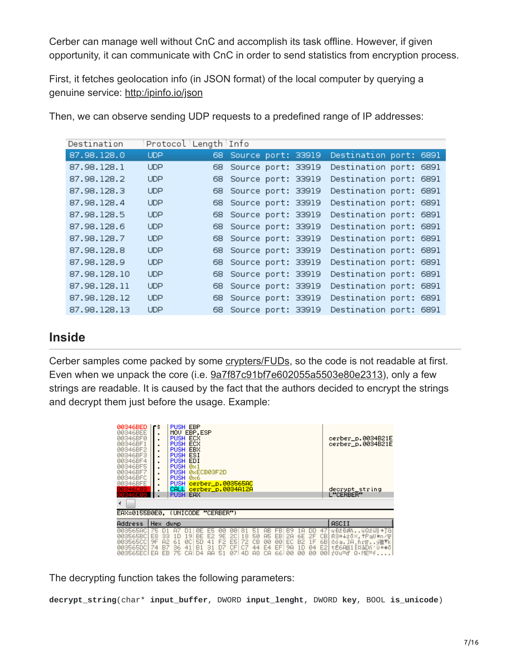Cerber can manage well without CnC and accomplish its task offline. However, if given opportunity, it can communicate with CnC in order to send statistics from encryption process.

First, it fetches geolocation info (in JSON format) of the local computer by querying a genuine service: [http:/ipinfo.io/json](http://ipinfo.io/json)

| Destination  | Protocol Length Info |    |                       |  |                        |  |
|--------------|----------------------|----|-----------------------|--|------------------------|--|
| 87.98.128.0  | <b>UDP</b>           | 68 | Source port: 33919    |  | Destination port: 6891 |  |
| 87.98.128.1  | <b>UDP</b>           | 68 | Source port: 33919    |  | Destination port: 6891 |  |
| 87.98.128.2  | <b>UDP</b>           | 68 | Source port: 33919    |  | Destination port: 6891 |  |
| 87.98.128.3  | <b>UDP</b>           |    | 68 Source port: 33919 |  | Destination port: 6891 |  |
| 87.98.128.4  | <b>UDP</b>           |    | 68 Source port: 33919 |  | Destination port: 6891 |  |
| 87.98.128.5  | <b>UDP</b>           |    | 68 Source port: 33919 |  | Destination port: 6891 |  |
| 87.98.128.6  | <b>UDP</b>           |    | 68 Source port: 33919 |  | Destination port: 6891 |  |
| 87.98.128.7  | <b>UDP</b>           | 68 | Source port: 33919    |  | Destination port: 6891 |  |
| 87.98.128.8  | <b>UDP</b>           | 68 | Source port: 33919    |  | Destination port: 6891 |  |
| 87.98.128.9  | <b>UDP</b>           | 68 | Source port: 33919    |  | Destination port: 6891 |  |
| 87.98.128.10 | <b>UDP</b>           | 68 | Source port: 33919    |  | Destination port: 6891 |  |
| 87.98.128.11 | <b>UDP</b>           | 68 | Source port: 33919    |  | Destination port: 6891 |  |
| 87.98.128.12 | <b>UDP</b>           | 68 | Source port: 33919    |  | Destination port: 6891 |  |
| 87.98.128.13 | <b>UDP</b>           |    | 68 Source port: 33919 |  | Destination port: 6891 |  |

Then, we can observe sending UDP requests to a predefined range of IP addresses:

#### **Inside**

Cerber samples come packed by some [crypters/FUDs](https://blog.malwarebytes.org/development/2015/12/malware-crypters-the-deceptive-first-layer/), so the code is not readable at first. Even when we unpack the core (i.e.  $9a7f87c91b7e602055a5503e80e2313$ ), only a few strings are readable. It is caused by the fact that the authors decided to encrypt the strings and decrypt them just before the usage. Example:

| 00346BED<br>00346BEE<br>00346BF0<br>00346BF1<br>00346BF2<br>00346BF3<br>00346BF4<br>00346BF5<br>00346BF7<br>00346BFC<br>00346BFE<br>103460<br>10346C08<br>∢ | ٢Š<br>٠<br>٠<br>٠<br>٠<br>٠      | PUSH EBP<br>MOU EBP.ESP<br>PUSH ECX<br><b>PUSH ECX</b><br>PUSH EBX<br><b>PUSH ESI</b><br>PUSH EDI<br>PUSH Øs1<br>PUSH 0x6<br>PUSH cerber_p.003565AC<br>CALL<br><b>PUSH EAX</b> |                 | PUSH ØRECBØ3F2D<br>cerber p.0034A12A |                            |                                   |                             |                 |                |                       |                        |                |                              |                      |                             | cerber_p.0034B21E<br>cerber_p.0034B21E<br>decrypt_string<br>L"CERBER"                      |
|-------------------------------------------------------------------------------------------------------------------------------------------------------------|----------------------------------|--------------------------------------------------------------------------------------------------------------------------------------------------------------------------------|-----------------|--------------------------------------|----------------------------|-----------------------------------|-----------------------------|-----------------|----------------|-----------------------|------------------------|----------------|------------------------------|----------------------|-----------------------------|--------------------------------------------------------------------------------------------|
| EAX=0155B0E0. (UNICODE "CERBER")                                                                                                                            |                                  |                                                                                                                                                                                |                 |                                      |                            |                                   |                             |                 |                |                       |                        |                |                              |                      |                             |                                                                                            |
| Address                                                                                                                                                     | Hex dump                         |                                                                                                                                                                                |                 |                                      |                            |                                   |                             |                 |                |                       |                        |                |                              |                      |                             | <b>ASCII</b>                                                                               |
| 003565AC<br>003565BC<br>003565CC<br>003565DC                                                                                                                | E8<br>33<br>9F<br>82<br>74<br>B7 | 1 D<br>61<br>36                                                                                                                                                                | 19<br>ØC:<br>41 | <b>BE</b><br>50<br>B1                | E <sub>2</sub><br>41<br>31 | ЙЙ<br>9E<br>F <sub>2</sub><br>DZ. | 20<br>F <sub>5</sub><br>CE. | 18<br>72<br>CZ. | 50<br>CВ<br>44 | Α5<br><b>ØØ</b><br>E4 | EB.<br><b>ØØ</b><br>EF | 28<br>EC<br>98 | 6E.<br>B2.<br>1 <sub>0</sub> | ΠN<br>2F<br>1F<br>04 | 47<br>CВ<br>6B<br>E2<br>001 | uĐžĐ∦ňüQzGiH→TGl<br>R3#420X. +Pa0#n/m<br>čoa. JA.ňr <del>ī</del> 9 當下k<br>tĒ6A▒1ī¤āDn'ü#⊕ō |

The decrypting function takes the following parameters:

**decrypt\_string**(char\* **input\_buffer**, DWORD **input\_lenght**, DWORD **key**, BOOL **is\_unicode**)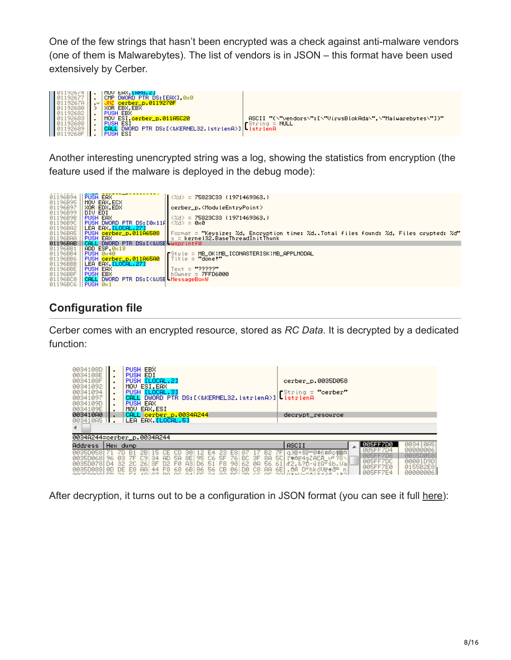One of the few strings that hasn't been encrypted was a check against anti-malware vendors (one of them is Malwarebytes). The list of vendors is in JSON – this format have been used extensively by Cerber.



Another interesting unencrypted string was a log, showing the statistics from encryption (the feature used if the malware is deployed in the debug mode):



## **Configuration file**

Cerber comes with an encrypted resource, stored as *RC Data*. It is decrypted by a dedicated function:

| 0034108D<br>0034108E<br>0034108F<br>00341092<br>00341094<br>00341097<br>0034109D<br>0034109E<br>003410A0<br>003410A5 |                       |                | <b>PUSH EBX</b><br>PUSH EDI<br>PUSH ELOCAL.21<br>MOU ESI.EAX<br>PUSH [LOCAL.3]<br>PUSH EAX<br>MOV EAX.ESI<br>CALL cerber_p.0034A244<br>LEA EAX LLOCAL.51 |                            |               |           |                     |                |                |                 |                  |                |                  |                       |                            |                        | cerber_p.0035D058<br>$f$ String = "cerber"<br>decrypt_resource                                               |                                                                               |                                                                     |
|----------------------------------------------------------------------------------------------------------------------|-----------------------|----------------|----------------------------------------------------------------------------------------------------------------------------------------------------------|----------------------------|---------------|-----------|---------------------|----------------|----------------|-----------------|------------------|----------------|------------------|-----------------------|----------------------------|------------------------|--------------------------------------------------------------------------------------------------------------|-------------------------------------------------------------------------------|---------------------------------------------------------------------|
| 0034A244=cerber_p.0034A244                                                                                           |                       |                |                                                                                                                                                          |                            |               |           |                     |                |                |                 |                  |                |                  |                       |                            |                        |                                                                                                              |                                                                               |                                                                     |
| <b>Address</b>                                                                                                       | Hex dump              |                |                                                                                                                                                          |                            |               |           |                     |                |                |                 |                  |                |                  |                       |                            |                        | <b>ASCII</b>                                                                                                 | 805FF7D0                                                                      | 003410A5                                                            |
| 003500581<br>003500681<br><b>0035D0781</b><br>0035D0881                                                              | 96<br>$\Box 4$<br>ØD. | ЙΒ<br>32<br>DE | 7F<br>2C.<br>E8.                                                                                                                                         | C9<br>26<br>$\overline{A}$ | 5<br>34<br>ЗF | AD.<br>D2 | 58.<br>FØ.<br>F8 68 | 8E<br>83<br>6B | 95<br>Π6<br>86 | C6<br>51<br>56. | 5F<br>F8.<br>CB. | 76<br>98<br>06 | BC.<br>62<br>DØ. | ЗF<br><b>ØH</b><br>C8 | 8A<br>56<br>$\overline{A}$ | <b>5CI</b><br>61<br>6E | □ 38+Si = 0\$n#Rc\$ 80<br>ľ♥△╔4sZÄĽĀ ∪º?ŏ∖<br>d2.&?D-uiQ°śb.VaN<br>.ôŔ D°hkóV <del>n</del> ∳đ <sup>u</sup> n | 005FF7D4<br>005FF7D8<br><b>GGSFF7DC</b><br><b>BBSFF7EB</b><br><b>GGEEEZE4</b> | 00000006<br>0035D058<br>00001D9D<br>0155B2E8<br><u> ааааааас II</u> |

After decryption, it turns out to be a configuration in JSON format (you can see it full [here](https://gist.github.com/hasherezade/628928248e8e6c8dae04)):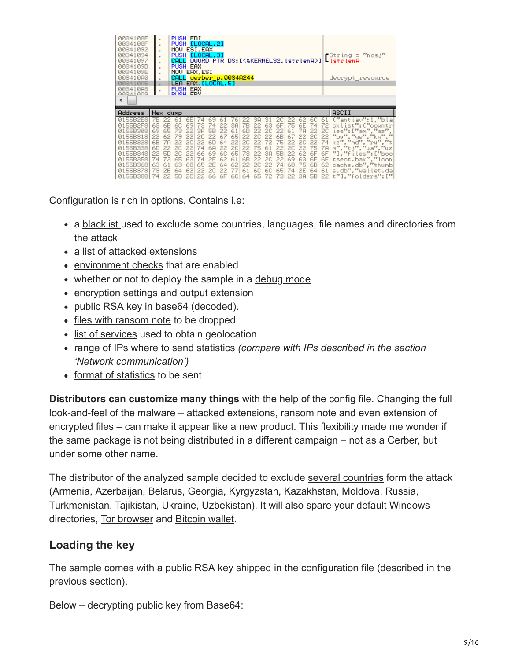| 0034108E<br>0034108F<br>00341092<br>00341094<br>00341097<br>0034109D<br>0034109E<br>003410A0<br>00341085<br>00341088<br>GOST LAGGG<br>∢           | $\,$                                                                                         | CALL                                           | PUSH EDI<br>PUSH [LOCAL.2]<br>MOU ESI.EAX<br>PUSH [LOCAL.3]<br>DWORD PTR DS: [<&KERNEL32.1strlenA>]<br>PUSH EAX<br>MOU EAX.ESI<br>CALL cerber_p.0034A244<br>LEA EAX <mark>[LOCAL.5]</mark><br>PUSH EAX<br>DHCH EDV |                                              |                                              |                                              |                                                    |                                                           |                                                           |                                                                 |                                                    |                                                    |                                                          |                                                   | $\blacksquare$ String = "nosj"<br>-IstrienA<br>decrypt_resource                                                                                                                       |
|---------------------------------------------------------------------------------------------------------------------------------------------------|----------------------------------------------------------------------------------------------|------------------------------------------------|--------------------------------------------------------------------------------------------------------------------------------------------------------------------------------------------------------------------|----------------------------------------------|----------------------------------------------|----------------------------------------------|----------------------------------------------------|-----------------------------------------------------------|-----------------------------------------------------------|-----------------------------------------------------------------|----------------------------------------------------|----------------------------------------------------|----------------------------------------------------------|---------------------------------------------------|---------------------------------------------------------------------------------------------------------------------------------------------------------------------------------------|
| Address<br>0155B2E8<br>55B2F8<br>55B308<br>55B318<br>Й1<br>0155B328<br>0155B338<br>0155B348<br>55B358<br>01<br>55B368<br>01<br>73<br>55B378<br>01 | Hex dump<br>63<br>69<br>65<br>22<br>6В<br>78<br>6D<br>22<br>50<br>22<br>74<br>73<br>63<br>2E | 73<br>79<br>22.<br>20<br>2C.<br>65<br>63<br>64 | 38<br>22<br>22<br>20<br>22<br>20<br>74<br>22<br>66<br>22.<br>63<br>74<br>68<br>65<br>62<br>22                                                                                                                      | 5B<br>22<br>6D<br>6А<br>69<br>2E<br>2E<br>20 | 22<br>67<br>64<br>22<br>6C<br>62<br>64<br>22 | 38<br>61<br>65<br>22<br>20<br>65<br>61<br>62 | 7В<br>6D<br>22<br>2C<br>22<br>73<br>6B<br>22<br>61 | 3A<br>22<br>22<br>2C<br>22<br>75<br>22<br>22<br>2C<br>6C. | 31<br>63<br>2C<br>-22<br>72<br>61<br>3A<br>2C<br>22<br>6C | 20<br>6F<br>22<br>6В<br>75<br>22<br><b>5B</b><br>22<br>74<br>65 | 75<br>61<br>67<br>22<br>20<br>22<br>69<br>68<br>74 | 6Е<br>7А<br>22<br>20<br>22<br>62<br>63<br>75<br>2E | 6C<br>74<br>22<br>20<br>22<br>75<br>6F<br>6F<br>6D<br>64 | 6<br>20<br>22<br>74<br>7A<br>6F<br>6E<br>62<br>61 | ASCII<br>("antiav":1."bla<br>$i \leq t$<br>ies":<br>ae<br>"nd<br>kz<br>$m^{\mu\nu}$ , $^{\mu\nu}$ t.i<br>"]."files":["boo<br>tsect.bak"."icon<br>cache.db"."thumb<br>s.db"."wallet.da |

Configuration is rich in options. Contains i.e:

- a [blacklist](https://gist.github.com/hasherezade/628928248e8e6c8dae04#file-config-json-L3) used to exclude some countries, languages, file names and directories from the attack
- a list of [attacked extensions](https://gist.github.com/hasherezade/628928248e8e6c8dae04#file-config-json-L59)
- [environment checks](https://gist.github.com/hasherezade/628928248e8e6c8dae04#file-config-json-L52) that are enabled
- whether or not to deploy the sample in a [debug mode](https://gist.github.com/hasherezade/628928248e8e6c8dae04#file-config-json-L58)
- [encryption settings and output extension](https://gist.github.com/hasherezade/628928248e8e6c8dae04#file-config-json-L444)
- public [RSA key in base64](https://gist.github.com/hasherezade/628928248e8e6c8dae04#file-config-json-L452) [\(decoded](https://gist.github.com/hasherezade/628928248e8e6c8dae04#file-public_key-key)).
- [files with ransom note](https://gist.github.com/hasherezade/628928248e8e6c8dae04#file-config-json-L453) to be dropped
- [list of services](https://gist.github.com/hasherezade/628928248e8e6c8dae04#file-config-json-L470) used to obtain geolocation
- [range of IPs](https://gist.github.com/hasherezade/628928248e8e6c8dae04#file-config-json-L488) where to send statistics *(compare with IPs described in the section 'Network communication')*
- [format of statistics](https://gist.github.com/hasherezade/628928248e8e6c8dae04#file-config-json-L487) to be sent

**Distributors can customize many things** with the help of the config file. Changing the full look-and-feel of the malware – attacked extensions, ransom note and even extension of encrypted files – can make it appear like a new product. This flexibility made me wonder if the same package is not being distributed in a different campaign – not as a Cerber, but under some other name.

The distributor of the analyzed sample decided to exclude [several countries](https://gist.github.com/hasherezade/628928248e8e6c8dae04#file-config-json-L5) form the attack (Armenia, Azerbaijan, Belarus, Georgia, Kyrgyzstan, Kazakhstan, Moldova, Russia, Turkmenistan, Tajikistan, Ukraine, Uzbekistan). It will also spare your default Windows directories, [Tor browser](https://gist.github.com/hasherezade/628928248e8e6c8dae04#file-config-json-L32) and [Bitcoin wallet](https://gist.github.com/hasherezade/628928248e8e6c8dae04#file-config-json-L22).

#### **Loading the key**

The sample comes with a public RSA key [shipped in the configuration file](https://gist.github.com/hasherezade/628928248e8e6c8dae04#file-config-json-L452) (described in the previous section).

Below – decrypting public key from Base64: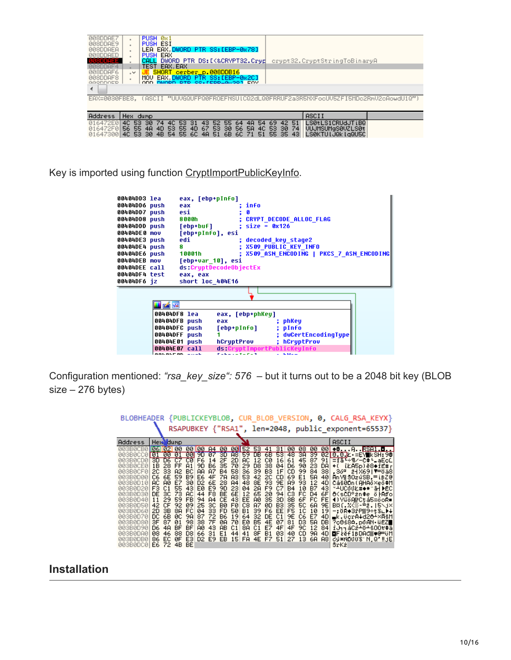| 008DDAE7<br>008DDAE9<br>008DDAEA<br>008DDAED<br><b>ØSDDAEE</b>                           |                                      | CALL            | PUSH 0x1<br><b>PUSH ESI</b><br>PUSH EAX | LEA EAX, DWORD PTR SS:[EBP-0x78]<br>DWORD PTR DS: [<&CRYPT32.Cryd                        |                 |                 |                 |                   |                |           |                |                |                |                | crypt32.CryptStringToBinaryA |  |                                                            |  |  |
|------------------------------------------------------------------------------------------|--------------------------------------|-----------------|-----------------------------------------|------------------------------------------------------------------------------------------|-----------------|-----------------|-----------------|-------------------|----------------|-----------|----------------|----------------|----------------|----------------|------------------------------|--|------------------------------------------------------------|--|--|
| 10800HF 4<br>008DDAF6<br>008DDAF8<br>GGODDOED                                            | $\sim$                               |                 |                                         | TEST EAX. EAX<br>SHORT cerber_p.008DDB16<br>MOV EAX DWORD PTR SS:[EBP-0x2C]<br>DUODD DTD |                 |                 |                 | CO.FEDDLGGOOT ENV |                |           |                |                |                |                |                              |  |                                                            |  |  |
| EAX=0030FBE8. (ASCII "UUVGQUFPQ0FROEFNSUlCQ2dLQ0FRRUF2a3R5NXFocUV5ZFI5MDc2RmV2cAowdU1Q") |                                      |                 |                                         |                                                                                          |                 |                 |                 |                   |                |           |                |                |                |                |                              |  |                                                            |  |  |
| <b>Address</b>                                                                           | Hex dump                             |                 |                                         |                                                                                          |                 |                 |                 |                   |                |           |                |                |                |                | ASCII                        |  |                                                            |  |  |
| 016472E0<br>016472F0<br>01647300                                                         | 4C.<br>53.<br>55<br>56.<br>53<br>4C. | 30.<br>4A<br>30 | 74<br>4D.<br>4B                         | 4C.<br>53.<br>55<br>53.<br>55<br>54                                                      | 31<br>4D<br>6C. | 43.<br>67<br>4A | 52<br>53.<br>51 | 55.<br>30<br>6В   | 64<br>56<br>60 | 4A<br>58. | 54<br>4C<br>51 | 69<br>53<br>55 | 42<br>30<br>35 | 51<br>74<br>43 |                              |  | LS0tLS1CRUdJTiB0<br>UUJMSUMgSØVZLSØt<br>LSØKTU LJQk LaQU5C |  |  |

Key is imported using function [CryptImportPublicKeyInfo](https://msdn.microsoft.com/en-us/library/windows/desktop/aa380209%28v=vs.85%29.aspx).

| 00404DD3 lea<br>00404DD6 push<br>00404DD7 push<br>00404DD8 push<br>00404DDD push<br>00404DE0 mov<br>00404DE3 push<br>00404DE4 push<br>00404DE6 push<br>00404DEB mov<br>00404DEE call<br>00404DF4 test<br>00404DF6 jz |              | eax, [ebp+pInfo]<br>eax<br>esi<br>8 0 0 0 h<br>[ebp+buf]<br>[ebp+pInfo], esi<br>edi<br>8<br>10001h<br>[ebp+var 10], esi<br>ds:CruptDecodeObjectEx<br>eax, eax<br>short loc 404E16 |     | info<br>$: size = 0x126$ | ; CRYPT DECODE ALLOC FLAG<br>: decoded key stage2<br><b>X509 PUBLIC KEY INFO</b><br>X509 ASN ENCODING   PKCS 7 ASN ENCODING |  |
|----------------------------------------------------------------------------------------------------------------------------------------------------------------------------------------------------------------------|--------------|-----------------------------------------------------------------------------------------------------------------------------------------------------------------------------------|-----|--------------------------|-----------------------------------------------------------------------------------------------------------------------------|--|
|                                                                                                                                                                                                                      |              |                                                                                                                                                                                   |     |                          |                                                                                                                             |  |
|                                                                                                                                                                                                                      | i z E        |                                                                                                                                                                                   |     |                          |                                                                                                                             |  |
|                                                                                                                                                                                                                      | 00404DF8 lea |                                                                                                                                                                                   |     | eax, [ebp+phKey]         |                                                                                                                             |  |
|                                                                                                                                                                                                                      |              | 00404DFB push                                                                                                                                                                     | eax |                          | ; phKey                                                                                                                     |  |
|                                                                                                                                                                                                                      |              | 00404DFC push                                                                                                                                                                     |     | [ebp+pInfo]              | ; pInfo                                                                                                                     |  |
|                                                                                                                                                                                                                      |              | 00404DFF push                                                                                                                                                                     |     |                          | ; dwCertEncodingType                                                                                                        |  |
|                                                                                                                                                                                                                      |              | 00404E01 push                                                                                                                                                                     |     | hCryptProv               | ; hCruptProv                                                                                                                |  |
|                                                                                                                                                                                                                      |              | 00404E07 call<br><u>aalalran jiju</u>                                                                                                                                             |     |                          | ds:CryptImportPublicKeyInfo                                                                                                 |  |

Configuration mentioned: *"rsa\_key\_size": 576* – but it turns out to be a 2048 bit key (BLOB size – 276 bytes)

| <b>BLOBHEADER</b>               |             |            |           |            |                      |           |                 |                      |          |                               |                      |          |                        |           |          |           | {PUBLICKEYBLOB, CUR BLOB VERSION, 0, CALG RSA KEYX} |               |
|---------------------------------|-------------|------------|-----------|------------|----------------------|-----------|-----------------|----------------------|----------|-------------------------------|----------------------|----------|------------------------|-----------|----------|-----------|-----------------------------------------------------|---------------|
|                                 |             |            |           |            |                      |           |                 |                      |          |                               |                      |          |                        |           |          |           | RSAPUBKEY {"RSA1", len=2048, public_exponent=65537} |               |
| Address                         | Hext dump   |            |           |            |                      |           |                 |                      |          |                               |                      |          |                        |           |          |           | ASCII                                               |               |
| <b>ЙЙЗВЙСВЙ</b>                 | 10611021 00 |            |           |            |                      |           |                 |                      |          | 00 00 84 00 00 52 53 41 31 00 |                      |          |                        | 08        | 00       |           |                                                     |               |
| 003B0CC0 01<br><u> ЙАЗВАСПА</u> |             | 00<br>n6   | 01        | си         | 00 9D<br>F6          | 07 SD     |                 |                      |          | A8159 DB                      | -6B                  | 531      | -48                    | ЗĤ        | 39       |           | 0210.012 = EYIkSH:98                                |               |
| 003B0CE0                        | 3D.<br>18   | 28         | FF        | 81         | 90                   | 14<br>B6. | 2Е<br>35        | 20<br>70             | яc<br>29 | 12<br>D8                      | сø<br>38             | 16<br>04 | 61<br>D6               | 45<br>90  | 87<br>23 | 91.<br>DA | ਵਿਰੰ¤÷¶⁄−C‡-aEcCl<br>֒.                             | iŁA5p)ĕ8♦iE#r |
| <b>003B0CF0</b>                 | 20.         | 33         | 82        | ВC         | ΑA                   | 87        | <b>B4</b>       | 58                   | 36.      | 39                            | B3.                  | 1F       | СD                     | 99        | 84       | 38        | .36ª ž⊣X69∣▼=ŏä8!                                   |               |
| 003B0D00                        | C6          | 6E         | 59.       | <b>B9</b>  | E6                   | 4F        | 7A              | 83                   | 53       | 42                            | 20                   | СD       | 69                     | E1        | 58       | 40        | AnMiSOzúSB.≕iBZ@                                    |               |
| ЙЙЗВЙЛ1Й<br><b>003B0D20</b>     | АC<br>F3.   | AЙ<br>C1   | F7<br>55. | зя<br>43   | D <sub>2</sub><br>EЙ | 6Е<br>F9. | 28<br>90.       | A <sub>4</sub><br>23 | 48<br>04 | 8E<br>2А                      | 93<br>F <sub>9</sub> | 9E<br>C7 | <b>A9</b><br><b>B4</b> | 93.<br>10 | 12<br>B7 | 4D<br>43. | Cáš0Dn(AHAō×eō‡M<br>*±UC60Ł#◆*^āH DEC               |               |
| <b>AASBADSA</b>                 | DE          | 30         | 73.       | <b>AC</b>  | 44                   | F8.       | <b>BF</b>       | 6Е                   | 12       | 65                            | 2Й                   | 94       | C3.                    | FC        | $\Box 4$ | 6F        | öKsCD°żn‡e ö⊦Aďol                                   |               |
| <b>AASBAD4A</b>                 | 11          | 29         | 59.       | FB         | 94                   | 84        | СE              | 43                   | FF       | AЙ                            | 35                   | 30       | 8B                     | 6F        | FC       | FE.       | 4)YűöAiPCtá5=öoR≡i                                  |               |
| <b>003B0D50</b>                 | 42          | СF         | 92        | 09         | 25                   | 3С        | BЙ              | FЙ                   | C8       | 87                            | øD                   | BЗ       | 35.                    | 50.       | 6A       | 9E I      | B¤f. ZK#-#ž. 15Nj×l                                 |               |
| 003B0D60<br>003B0D70            | 20<br>DC    | 3В<br>68   | 88<br>ØС  | FC<br>9Α   | Й4<br>87             | 33<br>72  | FD<br><b>B6</b> | 50<br>19             | Β1<br>64 | 39<br>32                      | F6<br>DE             | EE<br>C1 | F5<br>9E               | 1C<br>C6  | 10       | 19        | –∶ŏR⊕3řP▒9÷tS∟▶↓<br>∍k.ücrA∔d2ô∸×ĀšM                |               |
| 003B0D80                        | ЗF          | 87         | Й1        | 98         | 38                   | 7F        | ØA              | 7й                   | EЙ       | B5                            | 4E                   | Й7       | 81                     | D3.       | E7<br>58 | 4D<br>DB  | ?c0ś8∆.póAN üËZ∎                                    |               |
| 003B0D90                        | D6          | 48         | ВF        | ВF         | АØ                   | 43        | <b>AB</b>       | C1                   | 88       | C1                            | E7                   | 4F       | 4F                     | 9C        | 12       | 84        | iJhháCź∸ŏ∸šOOt‡ä                                    |               |
| <u> 003B0DA0</u>                | Й8          | 46         | 88        | D8         | 66                   | 31        | F1              | 44                   | 41       | 8F                            | <b>B1</b>            | Й3       | 40                     | СD        | 9A       | 4D        | <b>OLE</b> PEELBDAC▒♥©≕üM                           |               |
| <u> 003B0DB0</u><br>003B0DC0    | 86<br>E6.   | EC.<br>-72 | ØЕ<br>4B  | E3.<br>BE. | D <sub>2</sub>       | E9.       | EB              | 15                   | FA       | 4Ε                            | FZ.                  | 51       | 27                     | 13        | 6A       | 88        | 69*NDU08 N.Q' !! JE <br>SrKż                        |               |
|                                 |             |            |           |            |                      |           |                 |                      |          |                               |                      |          |                        |           |          |           |                                                     |               |

#### **Installation**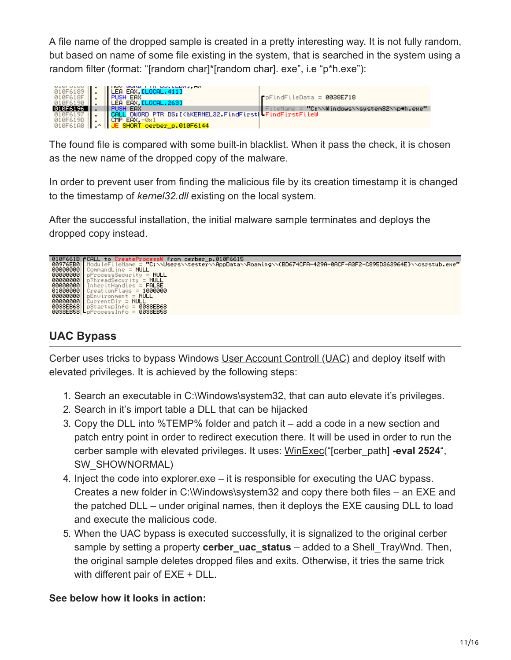A file name of the dropped sample is created in a pretty interesting way. It is not fully random, but based on name of some file existing in the system, that is searched in the system using a random filter (format: "[random char]\*[random char]. exe", i.e "p\*h.exe"):

| 010F6189        | WOND I IN DOLLEDAJ, MA<br>LEA EAX, LLOCAL. 411)     |                                             |
|-----------------|-----------------------------------------------------|---------------------------------------------|
| 010F618F        | EAX                                                 | ∎pFindFileData = 0038E718                   |
| <b>P1PE619P</b> | LEA EAX [LOCAL.263]                                 |                                             |
|                 | EAX                                                 | FileName = "C:\\Windows\\system32\\p#h.exe" |
|                 | DWORD PTR DS: [K&KERNEL32.FindFirst[ FindFirstFileW |                                             |
| 010F619D        | $EAX - 0x1$                                         |                                             |
| 010F6199        | JE SHORT cerber_p.010F6144                          |                                             |

The found file is compared with some built-in blacklist. When it pass the check, it is chosen as the new name of the dropped copy of the malware.

In order to prevent user from finding the malicious file by its creation timestamp it is changed to the timestamp of *kernel32.dll* existing on the local system.

After the successful installation, the initial malware sample terminates and deploys the dropped copy instead.



### **UAC Bypass**

Cerber uses tricks to bypass Windows [User Account Controll \(UAC\)](http://blog.cobaltstrike.com/2014/03/20/user-account-control-what-penetration-testers-should-know/) and deploy itself with elevated privileges. It is achieved by the following steps:

- 1. Search an executable in C:\Windows\system32, that can auto elevate it's privileges.
- 2. Search in it's import table a DLL that can be hijacked
- 3. Copy the DLL into %TEMP% folder and patch it add a code in a new section and patch entry point in order to redirect execution there. It will be used in order to run the cerber sample with elevated privileges. It uses: [WinExec](https://msdn.microsoft.com/en-us/library/windows/desktop/ms687393%28v=vs.85%29.aspx)("[cerber\_path] **-eval 2524**", SW\_SHOWNORMAL)
- 4. Inject the code into explorer.exe it is responsible for executing the UAC bypass. Creates a new folder in C:\Windows\system32 and copy there both files – an EXE and the patched DLL – under original names, then it deploys the EXE causing DLL to load and execute the malicious code.
- 5. When the UAC bypass is executed successfully, it is signalized to the original cerber sample by setting a property **cerber\_uac\_status** – added to a Shell\_TrayWnd. Then, the original sample deletes dropped files and exits. Otherwise, it tries the same trick with different pair of EXE + DLL.

#### **See below how it looks in action:**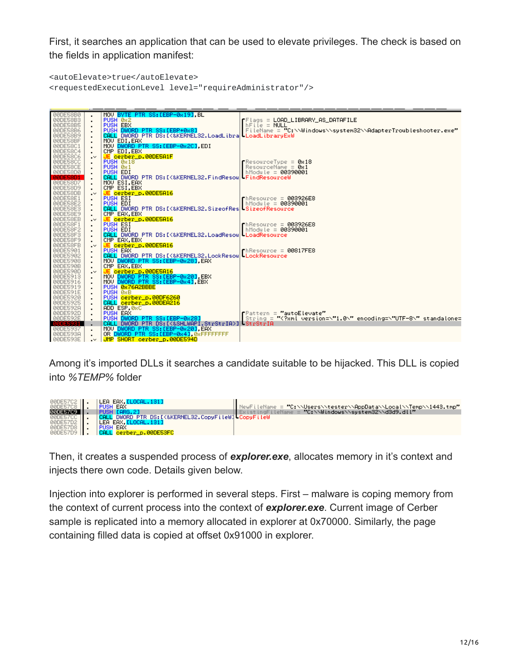First, it searches an application that can be used to elevate privileges. The check is based on the fields in application manifest:

```
<autoElevate>true</autoElevate>
<requestedExecutionLevel level="requireAdministrator"/>
```


Among it's imported DLLs it searches a candidate suitable to be hijacked. This DLL is copied into *%TEMP%* folder

| 00DE57C2    . | LEA EAX. <mark>[LOCAL.131]</mark>               |                                                                   |
|---------------|-------------------------------------------------|-------------------------------------------------------------------|
|               |                                                 |                                                                   |
| 00DE57C8      | PUSH EAX                                        | NewFileName = "C:\\Users\\tester\\AppData\\Local\\Temp\\1443.tmp" |
| 00DE57C9      | PUSH [ARG.2]                                    | ExistingFileName = "C:\\Windows\\sustem32\\d3d9.dll"              |
| 00DE57CC      | L DWORD PTR DS:IK&KERNEL32.CopyFileWJ CopyFileW |                                                                   |
| 00DE57D2      | 'LEA EAX. <mark>[LOCAL.131]</mark>              |                                                                   |
| 00DE57D8   .  | PUSH EAX                                        |                                                                   |
| 00DE57D9      | CALL cerber p.00DE53FC                          |                                                                   |

Then, it creates a suspended process of *explorer.exe*, allocates memory in it's context and injects there own code. Details given below.

Injection into explorer is performed in several steps. First – malware is coping memory from the context of current process into the context of *explorer.exe*. Current image of Cerber sample is replicated into a memory allocated in explorer at 0x70000. Similarly, the page containing filled data is copied at offset 0x91000 in explorer.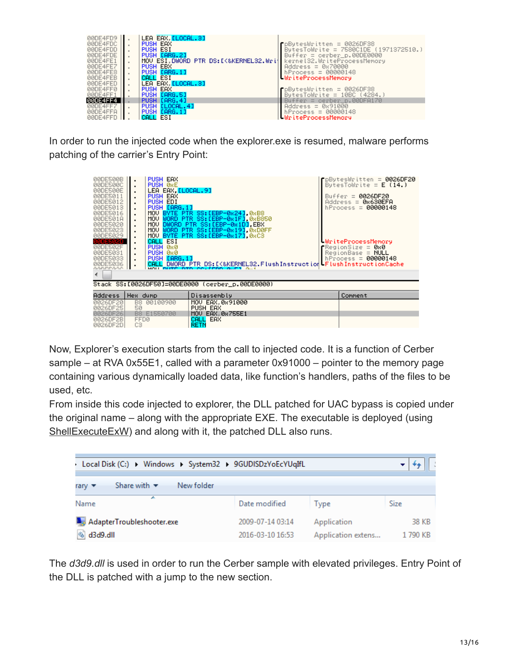

In order to run the injected code when the explorer.exe is resumed, malware performs patching of the carrier's Entry Point:

| 00DE500B<br>00DE500C<br>00DE500E<br>00DE5011<br>00DE5012<br>00DE5013<br>00DE5016<br>00DE501A<br>00DE5020<br>00DE5023<br>00DE5029<br>90025020<br>00DE502F<br>00DE5031<br>00DE5033<br>00DE5036<br>GODEEQOO | PUSH EAX<br>PUSH Ø8E<br>LEA EAX, LLOCAL.9]<br>PUSH EAX<br>PUSH EDI<br>PUSH [ARG.1]<br>CALL ESI<br>PUSH 0x0<br>PUSH 0x0<br>PUSH [ARG.1]<br>٠<br>MOUL DUTE DTD | MOU BYTE PTR SS: [EBP-0x24] 0xB8<br>MOV WORD PTR SS: [EBP-0x1F] 0xB850<br>MOV DWORD PTR SS: [EBP-0x1D].EBX<br>MOV WORD PTR SS: LEBP-0x191,0xD0FF<br>MOU BYTE PTR SS: LEBP-0x171 0xC3<br>CALL DWORD PTR DS: [<&KERNEL32.FlushInstruction FlushInstructionCache<br>CO-FEDD OUTS OUR | $\mathsf F$ pBytesWritten = 0026DF20<br>ButesToWrite = $E(14.1)$<br>Buffer = $0026DF20$<br>$Address = 0x630EFA$<br>hProcess = 00000148<br>UriteProcessMemory<br>$\mathsf{\Gamma}$ RegionSize = 0x0<br>$RegionBase = NULL$<br>$hProcess = 00000148$ |
|----------------------------------------------------------------------------------------------------------------------------------------------------------------------------------------------------------|--------------------------------------------------------------------------------------------------------------------------------------------------------------|-----------------------------------------------------------------------------------------------------------------------------------------------------------------------------------------------------------------------------------------------------------------------------------|----------------------------------------------------------------------------------------------------------------------------------------------------------------------------------------------------------------------------------------------------|
|                                                                                                                                                                                                          |                                                                                                                                                              |                                                                                                                                                                                                                                                                                   |                                                                                                                                                                                                                                                    |
|                                                                                                                                                                                                          |                                                                                                                                                              | Stack SS:[0026DF50]=00DE0000 (cerber p.00DE0000)                                                                                                                                                                                                                                  |                                                                                                                                                                                                                                                    |
| <b>Address</b>                                                                                                                                                                                           | Hex dump                                                                                                                                                     | Disassembly                                                                                                                                                                                                                                                                       | Comment                                                                                                                                                                                                                                            |
| 0026DF20<br>0026DF25                                                                                                                                                                                     | B8.<br>00100900<br>50                                                                                                                                        | MOV EAX.0x91000<br>PUSH EAX                                                                                                                                                                                                                                                       |                                                                                                                                                                                                                                                    |
| 0026DF26                                                                                                                                                                                                 | B8 E1550700                                                                                                                                                  | MOU EAX. 0x755E1                                                                                                                                                                                                                                                                  |                                                                                                                                                                                                                                                    |
| 0026DF2B<br>0026DF2D                                                                                                                                                                                     | FFD0<br>CЗ                                                                                                                                                   | CALL EAX<br><b>RETN</b>                                                                                                                                                                                                                                                           |                                                                                                                                                                                                                                                    |

Now, Explorer's execution starts from the call to injected code. It is a function of Cerber sample – at RVA 0x55E1, called with a parameter 0x91000 – pointer to the memory page containing various dynamically loaded data, like function's handlers, paths of the files to be used, etc.

From inside this code injected to explorer, the DLL patched for UAC bypass is copied under the original name – along with the appropriate EXE. The executable is deployed (using [ShellExecuteExW](https://msdn.microsoft.com/pl-pl/library/windows/desktop/bb762154%28v=vs.85%29.aspx)) and along with it, the patched DLL also runs.

| Local Disk (C:) > Windows > System32 > 9GUDISDzYoEcYUqIfL                  |                                      |                                   |                  |
|----------------------------------------------------------------------------|--------------------------------------|-----------------------------------|------------------|
| Share with $\blacktriangledown$<br>New folder<br>rary $\blacktriangledown$ |                                      |                                   |                  |
| ∽<br>Name                                                                  | Date modified                        | Type                              | Size             |
| AdapterTroubleshooter.exe<br>d3d9.dll                                      | 2009-07-14 03:14<br>2016-03-10 16:53 | Application<br>Application extens | 38 KB<br>1790 KB |

The *d3d9.dll* is used in order to run the Cerber sample with elevated privileges. Entry Point of the DLL is patched with a jump to the new section.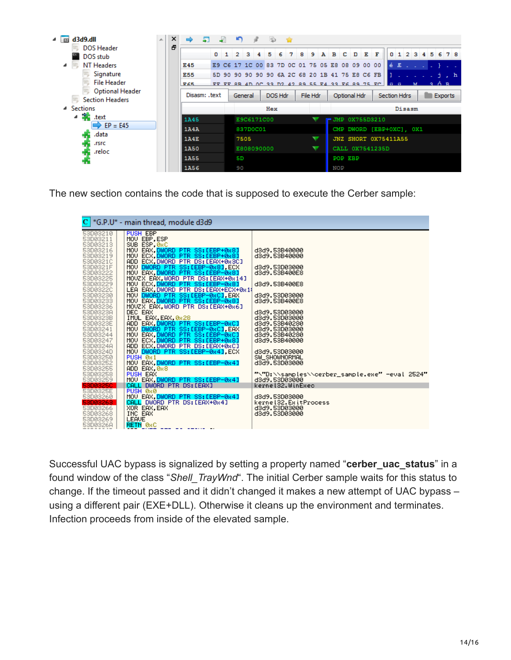

The new section contains the code that is supposed to execute the Cerber sample:

|                                                                                                                                                                                                                                                                                                                                                                                                                                  | $\mathbf{C}$ *G.P.U* - main thread, module d3d9                                                                                                                                                                                                                                                                                                                                                                                                                                                                                                                                                                                                                                                                                                                                                                                                                                                                                                                                              |                                                                                                                                                                                                                                                                                                                                                                                                                                                |
|----------------------------------------------------------------------------------------------------------------------------------------------------------------------------------------------------------------------------------------------------------------------------------------------------------------------------------------------------------------------------------------------------------------------------------|----------------------------------------------------------------------------------------------------------------------------------------------------------------------------------------------------------------------------------------------------------------------------------------------------------------------------------------------------------------------------------------------------------------------------------------------------------------------------------------------------------------------------------------------------------------------------------------------------------------------------------------------------------------------------------------------------------------------------------------------------------------------------------------------------------------------------------------------------------------------------------------------------------------------------------------------------------------------------------------------|------------------------------------------------------------------------------------------------------------------------------------------------------------------------------------------------------------------------------------------------------------------------------------------------------------------------------------------------------------------------------------------------------------------------------------------------|
| 53D03210<br>53D03211<br>53D03213<br>53D03216<br>53D03219<br>53D0321C<br>53D0321F<br>53D03222<br>53D03225<br>53D03229<br>53D0322C<br>53D03230<br>53D03233<br>53D03236<br>53D0323A<br>53D0323B<br>53D0323E<br>53D03241<br>53D03244<br>53D03247<br>53D0324A<br>53D0324D<br>53D03250<br>53D03252<br>53D03255<br>53D03258<br>53D03259<br>53D0325C<br>53D0325E<br>53D03260<br>53D03263<br>53D03266<br>53D03268<br>53D03269<br>53D0326A | PUSH EBP<br>MOU EBP, ESP<br>SUB ESP, 0xC<br>MOV EAX, DWORD PTR SS: [EBP+0x8]<br>MOV ECX DWORD PTR SS: [EBP+0x8]<br>ADD ECX, DWORD PTR DS: LEAX+0x3C1<br>MOV DWORD PTR SS:[EBP-0x8],ECX<br>MOV EAX,DWORD PTR SS:[EBP-0x8]<br>MOUZX EAX, WORD PTR DS: [EAX+0x14]<br>MOV ECX, DWORD PTR SS:[EBP-0x8]<br>LEA EAX, DWORD PTR DS: LEAX+ECX+0x1<br>MOV DWORD PTR SS: [EBP-0xC], EAX<br>MOV EAX DWORD PTR SS: LEBP-0x8]<br>MOVZX EAX WORD PTR DS: [EAX+0x6]<br>DEC EAX<br>IMUL EAX, EAX, 0x28<br>ADD EAX DWORD PTR SS:[EBP-0xC]<br>MOV DWORD PTR SS:[EBP-0xC],EAX<br>MOV EAX, DWORD PTR SS: [EBP-0xC]<br>MOV ECX. <mark>DWORD PTR SS:[EBP+0x8]</mark><br>ADD ECX.DWORD PTR DS:[EAX+0xC]<br>MOV DWORD PTR SS:[EBP-0x4].ECX<br>PUSH 0x1<br>MOV EAX, DWORD PTR SS: [EBP-0x4]<br>ADD EAX.0x8<br>PUSH EAX<br>MOV EAX, DWORD PTR SS: [EBP-0x4]<br>CALL DWORD PTR DS: [EAX]<br>PUSH 0x0<br>MOV EAX, DWORD PTR SS: [EBP-0x4]<br>CALL DWORD PTR DS: [EAX+0x4]<br>XOR EAX, EAX<br>INC EAX<br>LEAVE<br>RETN Ø8C | d3d9.53B40000<br>d3d9.53B40000<br>d3d9.53D03000<br>d3d9.53B400E8<br>d3d9.53B400E8<br>d3d9.53D03000<br>d3d9.53B400E8<br>d3d9.53D03000<br>d3d9.53D03000<br>d3d9.53B40280<br>d3d9.53D03000<br>d3d9.53B40280<br>d3d9.53B40000<br>d3d9.53D03000<br>SW_SHOWNORMAL<br>d3d9.53D03000<br>"\"D:\\samples\\cerber_sample.exe" -eval 2524"<br>d3d9.53D03000<br>kernel32.WinExec<br>d3d9.53D03000<br>kernel32.ExitProcess<br>d3d9.53D03000<br>d3d9.53D03000 |
|                                                                                                                                                                                                                                                                                                                                                                                                                                  |                                                                                                                                                                                                                                                                                                                                                                                                                                                                                                                                                                                                                                                                                                                                                                                                                                                                                                                                                                                              |                                                                                                                                                                                                                                                                                                                                                                                                                                                |

Successful UAC bypass is signalized by setting a property named "**cerber\_uac\_status**" in a found window of the class "*Shell\_TrayWnd*". The initial Cerber sample waits for this status to change. If the timeout passed and it didn't changed it makes a new attempt of UAC bypass – using a different pair (EXE+DLL). Otherwise it cleans up the environment and terminates. Infection proceeds from inside of the elevated sample.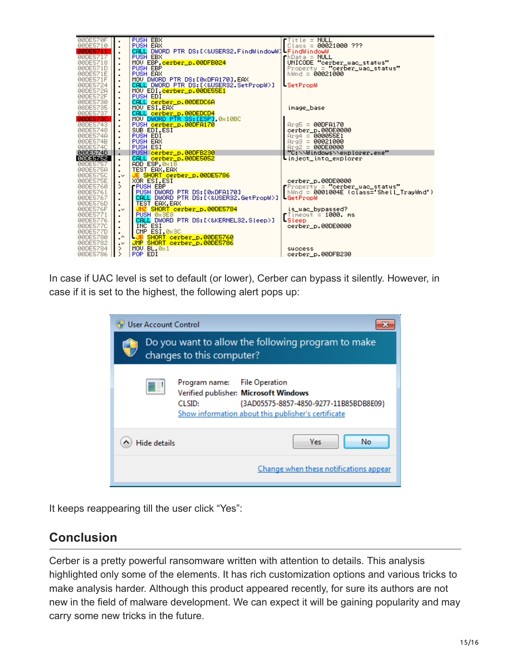

In case if UAC level is set to default (or lower), Cerber can bypass it silently. However, in case if it is set to the highest, the following alert pops up:

| <b>User Account Control</b>                                                                                                                                                                |  |  |  |  |  |
|--------------------------------------------------------------------------------------------------------------------------------------------------------------------------------------------|--|--|--|--|--|
| Do you want to allow the following program to make<br>changes to this computer?                                                                                                            |  |  |  |  |  |
| <b>File Operation</b><br>Program name:<br>Verified publisher: Microsoft Windows<br>CLSID:<br>{3AD05575-8857-4850-9277-11B85BDB8E09}<br>Show information about this publisher's certificate |  |  |  |  |  |
| Yes<br>No<br><b>Hide details</b>                                                                                                                                                           |  |  |  |  |  |
| Change when these notifications appear                                                                                                                                                     |  |  |  |  |  |

It keeps reappearing till the user click "Yes":

## **Conclusion**

Cerber is a pretty powerful ransomware written with attention to details. This analysis highlighted only some of the elements. It has rich customization options and various tricks to make analysis harder. Although this product appeared recently, for sure its authors are not new in the field of malware development. We can expect it will be gaining popularity and may carry some new tricks in the future.